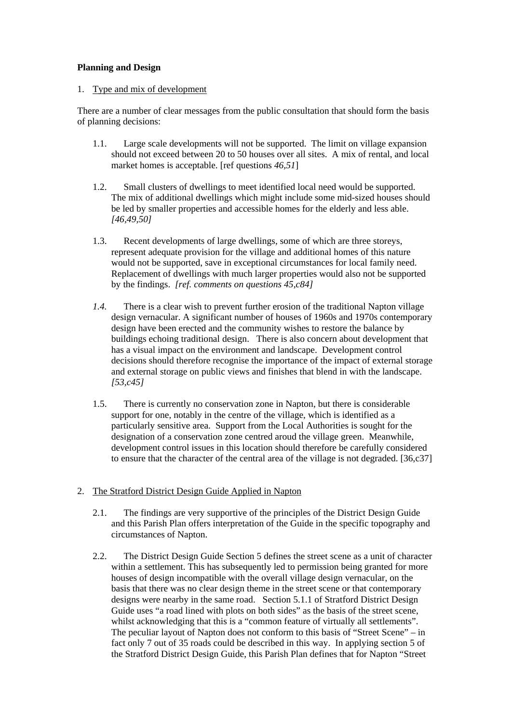## **Planning and Design**

## 1. Type and mix of development

There are a number of clear messages from the public consultation that should form the basis of planning decisions:

- 1.1. Large scale developments will not be supported. The limit on village expansion should not exceed between 20 to 50 houses over all sites. A mix of rental, and local market homes is acceptable. [ref questions *46,51*]
- 1.2. Small clusters of dwellings to meet identified local need would be supported. The mix of additional dwellings which might include some mid-sized houses should be led by smaller properties and accessible homes for the elderly and less able. *[46,49,50]*
- 1.3. Recent developments of large dwellings, some of which are three storeys, represent adequate provision for the village and additional homes of this nature would not be supported, save in exceptional circumstances for local family need. Replacement of dwellings with much larger properties would also not be supported by the findings. *[ref. comments on questions 45,c84]*
- *1.4.* There is a clear wish to prevent further erosion of the traditional Napton village design vernacular. A significant number of houses of 1960s and 1970s contemporary design have been erected and the community wishes to restore the balance by buildings echoing traditional design. There is also concern about development that has a visual impact on the environment and landscape. Development control decisions should therefore recognise the importance of the impact of external storage and external storage on public views and finishes that blend in with the landscape. *[53,c45]*
- 1.5. There is currently no conservation zone in Napton, but there is considerable support for one, notably in the centre of the village, which is identified as a particularly sensitive area. Support from the Local Authorities is sought for the designation of a conservation zone centred aroud the village green. Meanwhile, development control issues in this location should therefore be carefully considered to ensure that the character of the central area of the village is not degraded. [36,c37]

## 2. The Stratford District Design Guide Applied in Napton

- 2.1. The findings are very supportive of the principles of the District Design Guide and this Parish Plan offers interpretation of the Guide in the specific topography and circumstances of Napton.
- 2.2. The District Design Guide Section 5 defines the street scene as a unit of character within a settlement. This has subsequently led to permission being granted for more houses of design incompatible with the overall village design vernacular, on the basis that there was no clear design theme in the street scene or that contemporary designs were nearby in the same road. Section 5.1.1 of Stratford District Design Guide uses "a road lined with plots on both sides" as the basis of the street scene, whilst acknowledging that this is a "common feature of virtually all settlements". The peculiar layout of Napton does not conform to this basis of "Street Scene" – in fact only 7 out of 35 roads could be described in this way. In applying section 5 of the Stratford District Design Guide, this Parish Plan defines that for Napton "Street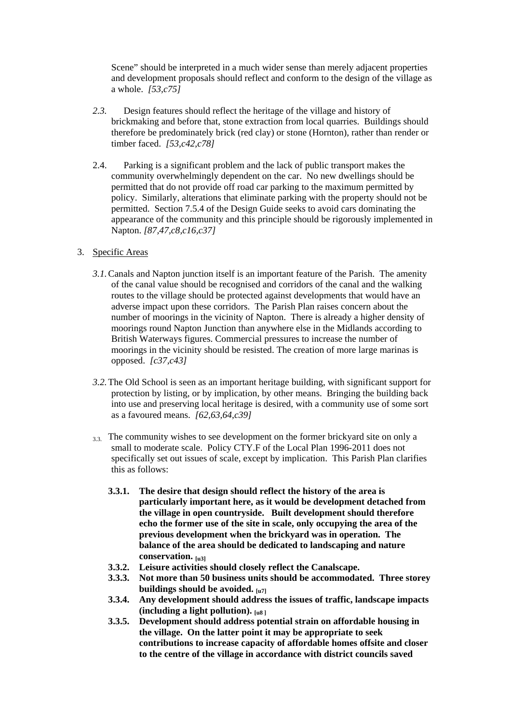Scene" should be interpreted in a much wider sense than merely adjacent properties and development proposals should reflect and conform to the design of the village as a whole. *[53,c75]*

- *2.3.* Design features should reflect the heritage of the village and history of brickmaking and before that, stone extraction from local quarries. Buildings should therefore be predominately brick (red clay) or stone (Hornton), rather than render or timber faced. *[53,c42,c78]*
- 2.4. Parking is a significant problem and the lack of public transport makes the community overwhelmingly dependent on the car. No new dwellings should be permitted that do not provide off road car parking to the maximum permitted by policy. Similarly, alterations that eliminate parking with the property should not be permitted. Section 7.5.4 of the Design Guide seeks to avoid cars dominating the appearance of the community and this principle should be rigorously implemented in Napton. *[87,47,c8,c16,c37]*
- 3. Specific Areas
	- *3.1.*Canals and Napton junction itself is an important feature of the Parish. The amenity of the canal value should be recognised and corridors of the canal and the walking routes to the village should be protected against developments that would have an adverse impact upon these corridors. The Parish Plan raises concern about the number of moorings in the vicinity of Napton. There is already a higher density of moorings round Napton Junction than anywhere else in the Midlands according to British Waterways figures. Commercial pressures to increase the number of moorings in the vicinity should be resisted. The creation of more large marinas is opposed. *[c37,c43]*
	- *3.2.*The Old School is seen as an important heritage building, with significant support for protection by listing, or by implication, by other means. Bringing the building back into use and preserving local heritage is desired, with a community use of some sort as a favoured means. *[62,63,64,c39]*
	- 3.3. The community wishes to see development on the former brickyard site on only a small to moderate scale. Policy CTY.F of the Local Plan 1996-2011 does not specifically set out issues of scale, except by implication. This Parish Plan clarifies this as follows:
		- **3.3.1. The desire that design should reflect the history of the area is particularly important here, as it would be development detached from the village in open countryside. Built development should therefore echo the former use of the site in scale, only occupying the area of the previous development when the brickyard was in operation. The balance of the area should be dedicated to landscaping and nature conservation. [u3]**
		- **3.3.2. Leisure activities should closely reflect the Canalscape.**
		- **3.3.3. Not more than 50 business units should be accommodated. Three storey buildings should be avoided. [u7]**
		- **3.3.4. Any development should address the issues of traffic, landscape impacts (including a light pollution). [u8 ]**
		- **3.3.5. Development should address potential strain on affordable housing in the village. On the latter point it may be appropriate to seek contributions to increase capacity of affordable homes offsite and closer to the centre of the village in accordance with district councils saved**